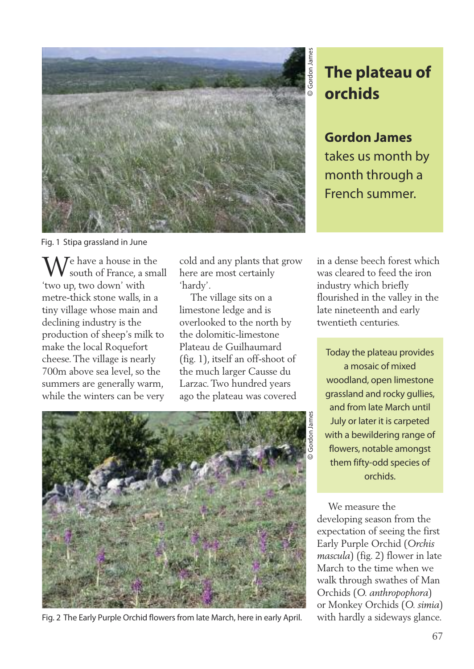

**The plateau of orchids**

**Gordon James** takes us month by month through a French summer.

Fig. 1 Stipa grassland in June

 $\Lambda$   $\overline{I}$ e have a house in the south of France, a small 'two up, two down' with metre-thick stone walls, in a tiny village whose main and declining industry is the production of sheep's milk to make the local Roquefort cheese.The village is nearly 700m above sea level, so the summers are generally warm, while the winters can be very

cold and any plants that grow here are most certainly 'hardy'.

The village sits on a limestone ledge and is overlooked to the north by the dolomitic-limestone Plateau de Guilhaumard (fig. 1), itself an off-shoot of the much larger Causse du Larzac.Two hundred years ago the plateau was covered

Fig. 2 The Early Purple Orchid flowers from late March, here in early April.

in a dense beech forest which was cleared to feed the iron industry which briefly flourished in the valley in the late nineteenth and early twentieth centuries.

Today the plateau provides a mosaic of mixed woodland, open limestone grassland and rocky gullies, and from late March until July or later it is carpeted with a bewildering range of flowers, notable amongst them fifty-odd species of orchids.

We measure the developing season from the expectation of seeing the first Early Purple Orchid (*Orchis mascula*) (fig. 2) flower in late March to the time when we walk through swathes of Man Orchids (*O. anthropophora*) or Monkey Orchids (*O. simia*) with hardly a sideways glance.

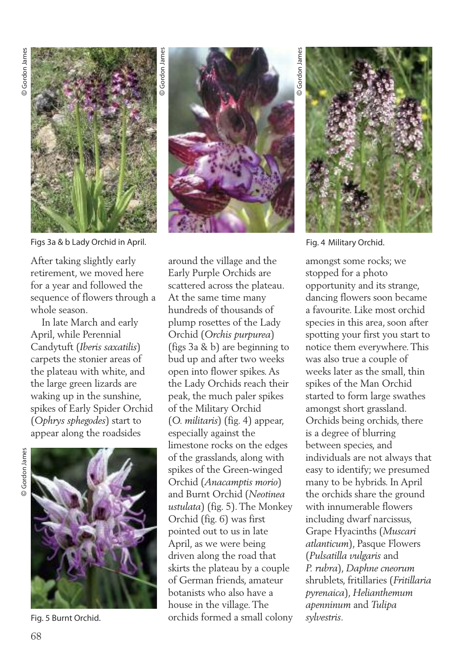

Figs 3a & b Lady Orchid in April. Fig. 4 Military Orchid.

After taking slightly early retirement, we moved here for a year and followed the sequence of flowers through a whole season.

In late March and early April, while Perennial Candytuft (*Iberis saxatilis*) carpets the stonier areas of the plateau with white, and the large green lizards are waking up in the sunshine, spikes of Early Spider Orchid (*Ophrys sphegodes*) start to appear along the roadsides



Fig. 5 Burnt Orchid.



around the village and the Early Purple Orchids are scattered across the plateau. At the same time many hundreds of thousands of plump rosettes of the Lady Orchid (*Orchis purpurea*) (figs 3a & b) are beginning to bud up and after two weeks open into flower spikes.As the Lady Orchids reach their peak, the much paler spikes of the Military Orchid (*O. militaris*) (fig. 4) appear, especially against the limestone rocks on the edges of the grasslands, along with spikes of the Green-winged Orchid (*Anacamptis morio*) and Burnt Orchid (*Neotinea ustulata*) (fig. 5).The Monkey Orchid (fig. 6) was first pointed out to us in late April, as we were being driven along the road that skirts the plateau by a couple of German friends, amateur botanists who also have a house in the village.The orchids formed a small colony

© Gordon Jame Gordon James



amongst some rocks; we stopped for a photo opportunity and its strange, dancing flowers soon became a favourite. Like most orchid species in this area, soon after spotting your first you start to notice them everywhere.This was also true a couple of weeks later as the small, thin spikes of the Man Orchid started to form large swathes amongst short grassland. Orchids being orchids, there is a degree of blurring between species, and individuals are not always that easy to identify; we presumed many to be hybrids. In April the orchids share the ground with innumerable flowers including dwarf narcissus, Grape Hyacinths (*Muscari atlanticum*), Pasque Flowers (*Pulsatilla vulgaris* and *P. rubra*), *Daphne cneorum* shrublets, fritillaries (*Fritillaria pyrenaica*), *Helianthemum apenninum* and *Tulipa sylvestris*.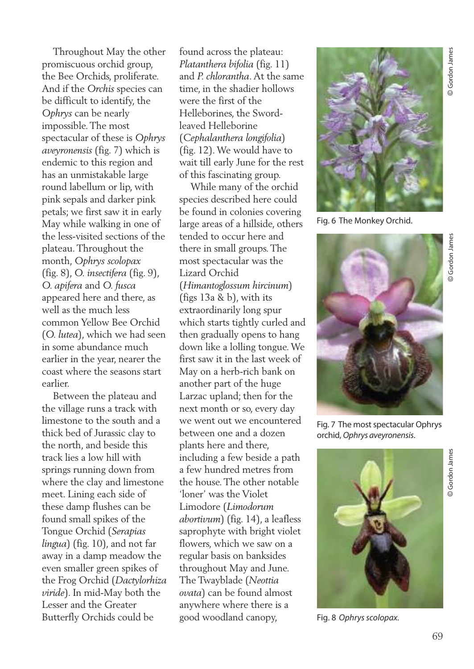Throughout May the other promiscuous orchid group, the Bee Orchids, proliferate. And if the *Orchis* species can be difficult to identify, the *Ophrys* can be nearly impossible.The most spectacular of these is *Ophrys aveyronensis* (fig. 7) which is endemic to this region and has an unmistakable large round labellum or lip, with pink sepals and darker pink petals; we first saw it in early May while walking in one of the less-visited sections of the plateau.Throughout the month, *Ophrys scolopax* (fig. 8), *O. insectifera* (fig. 9), *O. apifera* and *O. fusca* appeared here and there, as well as the much less common Yellow Bee Orchid (*O. lutea*), which we had seen in some abundance much earlier in the year, nearer the coast where the seasons start earlier.

Between the plateau and the village runs a track with limestone to the south and a thick bed of Jurassic clay to the north, and beside this track lies a low hill with springs running down from where the clay and limestone meet. Lining each side of these damp flushes can be found small spikes of the Tongue Orchid (*Serapias lingua*) (fig. 10), and not far away in a damp meadow the even smaller green spikes of the Frog Orchid (*Dactylorhiza viride*). In mid-May both the Lesser and the Greater Butterfly Orchids could be

found across the plateau: *Platanthera bifolia* (fig. 11) and *P. chlorantha*.At the same time, in the shadier hollows were the first of the Helleborines, the Swordleaved Helleborine (*Cephalanthera longifolia*) (fig. 12).We would have to wait till early June for the rest of this fascinating group.

While many of the orchid species described here could be found in colonies covering large areas of a hillside, others tended to occur here and there in small groups.The most spectacular was the Lizard Orchid (*Himantoglossum hircinum*) (figs 13a & b), with its extraordinarily long spur which starts tightly curled and then gradually opens to hang down like a lolling tongue.We first saw it in the last week of May on a herb-rich bank on another part of the huge Larzac upland; then for the next month or so, every day we went out we encountered between one and a dozen plants here and there, including a few beside a path a few hundred metres from the house.The other notable 'loner' was the Violet Limodore (*Limodorum abortivum*) (fig. 14), a leafless saprophyte with bright violet flowers, which we saw on a regular basis on banksides throughout May and June. The Twayblade (*Neottia ovata*) can be found almost anywhere where there is a good woodland canopy,



Fig. 6 The Monkey Orchid.



Fig. 7 The most spectacular Ophrys orchid, *Ophrys aveyronensis*.



Fig. 8 Ophrys scolopax.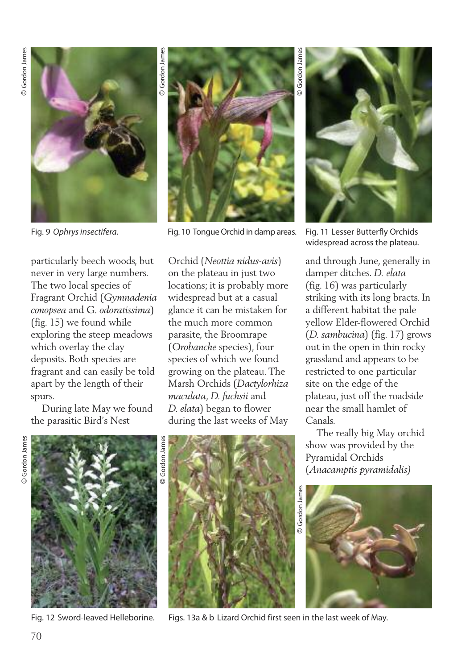

Fig. 9 *Ophrysinsectifera.*

particularly beech woods, but never in very large numbers. The two local species of Fragrant Orchid (*Gymnadenia conopsea* and G*. odoratissima*) (fig. 15) we found while exploring the steep meadows which overlay the clay deposits. Both species are fragrant and can easily be told apart by the length of their spurs.

During late May we found the parasitic Bird's Nest



Fig. 10 Tongue Orchid in damp areas.

Orchid (*Neottia nidus-avis*) on the plateau in just two locations; it is probably more widespread but at a casual glance it can be mistaken for the much more common parasite, the Broomrape (*Orobanche* species), four species of which we found growing on the plateau.The Marsh Orchids (*Dactylorhiza maculata*, *D. fuchsii* and *D. elata*) began to flower during the last weeks of May



Fig. 11 Lesser Butterfly Orchids widespread across the plateau.

and through June, generally in damper ditches. *D. elata* (fig. 16) was particularly striking with its long bracts. In a different habitat the pale yellow Elder-flowered Orchid (*D. sambucina*) (fig. 17) grows out in the open in thin rocky grassland and appears to be restricted to one particular site on the edge of the plateau, just off the roadside near the small hamlet of Canals.

The really big May orchid show was provided by the Pyramidal Orchids (*Anacamptis pyramidalis)*



© Gordon James Gordon James



Fig. 12 Sword-leaved Helleborine.



Figs. 13a & b Lizard Orchid first seen in the last week of May.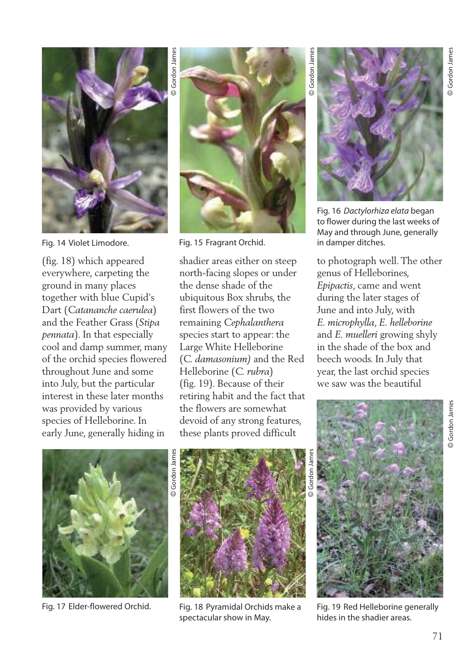

Fig. 14 Violet Limodore.

(fig. 18) which appeared everywhere, carpeting the ground in many places together with blue Cupid's Dart (*Catananche caerulea*) and the Feather Grass (*Stipa pennata*). In that especially cool and damp summer, many of the orchid species flowered throughout June and some into July, but the particular interest in these later months was provided by various species of Helleborine. In early June, generally hiding in



Fig. 15 Fragrant Orchid.

shadier areas either on steep north-facing slopes or under the dense shade of the ubiquitous Box shrubs, the first flowers of the two remaining *Cephalanthera* species start to appear: the Large White Helleborine (*C. damasonium)* and the Red Helleborine (*C. rubra*) (fig. 19). Because of their retiring habit and the fact that the flowers are somewhat devoid of any strong features, these plants proved difficult

Fig. 16 *Dactylorhiza elata* began to flower during the last weeks of May and through June, generally in damper ditches.

to photograph well.The other genus of Helleborines, *Epipactis*, came and went during the later stages of June and into July, with *E. microphylla*, *E. helleborine* and *E. muelleri* growing shyly in the shade of the box and beech woods. In July that year, the last orchid species we saw was the beautiful





Fig. 17 Elder-flowered Orchid. Fig. 18 Pyramidal Orchids make a spectacular show in May.



Fig. 19 Red Helleborine generally hides in the shadier areas.